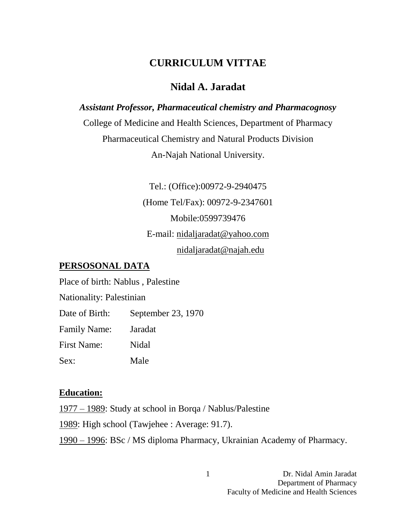## **CURRICULUM VITTAE**

## **Nidal A. Jaradat**

*Assistant Professor, Pharmaceutical chemistry and Pharmacognosy*  College of Medicine and Health Sciences, Department of Pharmacy Pharmaceutical Chemistry and Natural Products Division An-Najah National University.

> Tel.: (Office):00972-9-2940475 (Home Tel/Fax): 00972-9-2347601 Mobile:0599739476 E-mail: [nidaljaradat@yahoo.com](mailto:nidaljaradat@yahoo.com) nidaljaradat@najah.edu

#### **PERSOSONAL DATA**

Place of birth: Nablus , Palestine

Nationality: Palestinian

Date of Birth: September 23, 1970

Family Name: Jaradat

First Name: Nidal

Sex: Male

#### **Education:**

1977 – 1989: Study at school in Borqa / Nablus/Palestine

1989: High school (Tawjehee : Average: 91.7).

1990 – 1996: BSc / MS diploma Pharmacy, Ukrainian Academy of Pharmacy.

1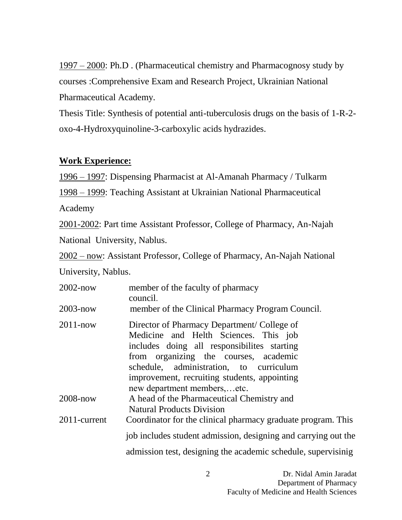1997 – 2000: Ph.D . (Pharmaceutical chemistry and Pharmacognosy study by courses :Comprehensive Exam and Research Project, Ukrainian National Pharmaceutical Academy.

Thesis Title: Synthesis of potential anti-tuberculosis drugs on the basis of 1-R-2 oxo-4-Hydroxyquinoline-3-carboxylic acids hydrazides.

#### **Work Experience:**

1996 – 1997: Dispensing Pharmacist at Al-Amanah Pharmacy / Tulkarm

1998 – 1999: Teaching Assistant at Ukrainian National Pharmaceutical

Academy

2001-2002: Part time Assistant Professor, College of Pharmacy, An-Najah

National University, Nablus.

2002 – now: Assistant Professor, College of Pharmacy, An-Najah National

University, Nablus.

| $2002 - now$ | member of the faculty of pharmacy<br>council.                                                                                                                                                                                                                                                         |
|--------------|-------------------------------------------------------------------------------------------------------------------------------------------------------------------------------------------------------------------------------------------------------------------------------------------------------|
| $2003 - now$ | member of the Clinical Pharmacy Program Council.                                                                                                                                                                                                                                                      |
| $2011 - now$ | Director of Pharmacy Department/College of<br>Medicine and Helth Sciences. This job<br>includes doing all responsibilites starting<br>from organizing the courses, academic<br>schedule, administration, to curriculum<br>improvement, recruiting students, appointing<br>new department members,etc. |
| 2008-now     | A head of the Pharmaceutical Chemistry and<br><b>Natural Products Division</b>                                                                                                                                                                                                                        |
| 2011-current | Coordinator for the clinical pharmacy graduate program. This                                                                                                                                                                                                                                          |
|              | job includes student admission, designing and carrying out the                                                                                                                                                                                                                                        |
|              | admission test, designing the academic schedule, supervisinig                                                                                                                                                                                                                                         |

 $\mathfrak{D}$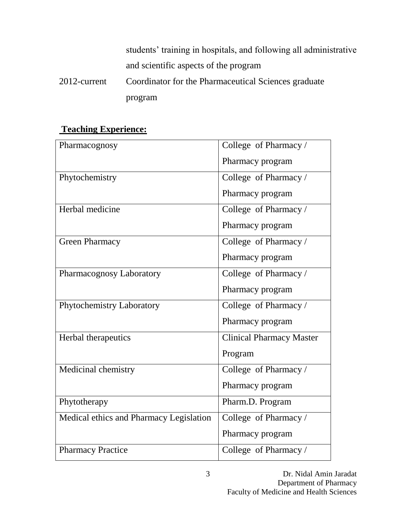students' training in hospitals, and following all administrative and scientific aspects of the program 2012-current Coordinator for the Pharmaceutical Sciences graduate program

### **Teaching Experience:**

| Pharmacognosy                           | College of Pharmacy /           |
|-----------------------------------------|---------------------------------|
|                                         | Pharmacy program                |
| Phytochemistry                          | College of Pharmacy /           |
|                                         | Pharmacy program                |
| Herbal medicine                         | College of Pharmacy /           |
|                                         | Pharmacy program                |
| <b>Green Pharmacy</b>                   | College of Pharmacy /           |
|                                         | Pharmacy program                |
| Pharmacognosy Laboratory                | College of Pharmacy /           |
|                                         | Pharmacy program                |
| Phytochemistry Laboratory               | College of Pharmacy /           |
|                                         | Pharmacy program                |
| Herbal therapeutics                     | <b>Clinical Pharmacy Master</b> |
|                                         | Program                         |
| Medicinal chemistry                     | College of Pharmacy /           |
|                                         | Pharmacy program                |
| Phytotherapy                            | Pharm.D. Program                |
| Medical ethics and Pharmacy Legislation | College of Pharmacy /           |
|                                         | Pharmacy program                |
| <b>Pharmacy Practice</b>                | College of Pharmacy /           |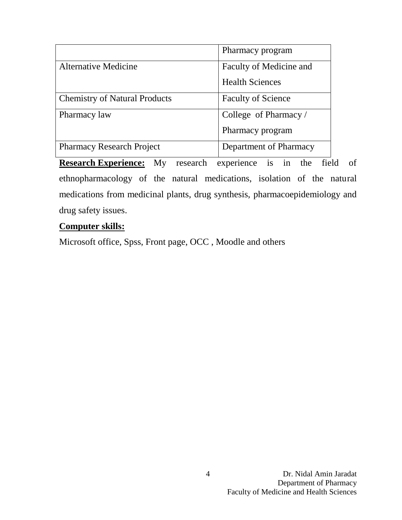|                                      | Pharmacy program          |
|--------------------------------------|---------------------------|
| <b>Alternative Medicine</b>          | Faculty of Medicine and   |
|                                      | <b>Health Sciences</b>    |
| <b>Chemistry of Natural Products</b> | <b>Faculty of Science</b> |
| Pharmacy law                         | College of Pharmacy /     |
|                                      | Pharmacy program          |
| <b>Pharmacy Research Project</b>     | Department of Pharmacy    |

**Research Experience:** My research experience is in the field of ethnopharmacology of the natural medications, isolation of the natural medications from medicinal plants, drug synthesis, pharmacoepidemiology and drug safety issues.

#### **Computer skills:**

Microsoft office, Spss, Front page, OCC , Moodle and others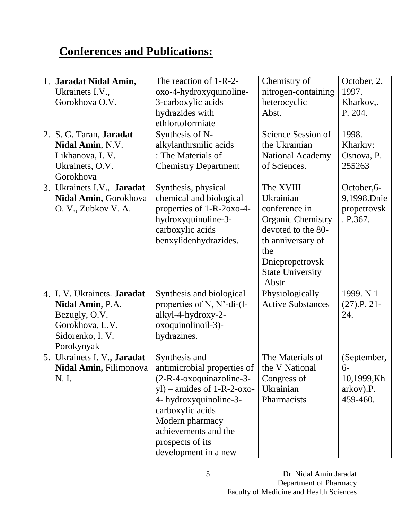# **Conferences and Publications:**

| 1.<br>2. | Jaradat Nidal Amin,<br>Ukrainets I.V.,<br>Gorokhova O.V.<br>S. G. Taran, Jaradat                                   | The reaction of 1-R-2-<br>oxo-4-hydroxyquinoline-<br>3-carboxylic acids<br>hydrazides with<br>ethlortoformiate<br>Synthesis of N-                                                                                                                                                                       | Chemistry of<br>nitrogen-containing<br>heterocyclic<br>Abst.<br>Science Session of                                                                                           | October, 2,<br>1997.<br>Kharkov,.<br>P. 204.<br>1998.      |
|----------|--------------------------------------------------------------------------------------------------------------------|---------------------------------------------------------------------------------------------------------------------------------------------------------------------------------------------------------------------------------------------------------------------------------------------------------|------------------------------------------------------------------------------------------------------------------------------------------------------------------------------|------------------------------------------------------------|
|          | Nidal Amin, N.V.<br>Likhanova, I. V.<br>Ukrainets, O.V.<br>Gorokhova                                               | alkylanthrsnilic acids<br>: The Materials of<br><b>Chemistry Department</b>                                                                                                                                                                                                                             | the Ukrainian<br><b>National Academy</b><br>of Sciences.                                                                                                                     | Kharkiv:<br>Osnova, P.<br>255263                           |
| 3.       | Ukrainets I.V., Jaradat<br>Nidal Amin, Gorokhova<br>O. V., Zubkov V. A.                                            | Synthesis, physical<br>chemical and biological<br>properties of 1-R-2oxo-4-<br>hydroxyquinoline-3-<br>carboxylic acids<br>benxylidenhydrazides.                                                                                                                                                         | The XVIII<br>Ukrainian<br>conference in<br><b>Organic Chemistry</b><br>devoted to the 80-<br>th anniversary of<br>the<br>Dniepropetrovsk<br><b>State University</b><br>Abstr | October, 6-<br>9,1998.Dnie<br>propetrovsk<br>.P.367.       |
| 4.       | I. V. Ukrainets. Jaradat<br>Nidal Amin, P.A.<br>Bezugly, O.V.<br>Gorokhova, L.V.<br>Sidorenko, I. V.<br>Porokynyak | Synthesis and biological<br>properties of N, $N'$ -di- $(l$ -<br>alkyl-4-hydroxy-2-<br>oxoquinolinoil-3)-<br>hydrazines.                                                                                                                                                                                | Physiologically<br><b>Active Substances</b>                                                                                                                                  | 1999. N 1<br>$(27).P. 21-$<br>24.                          |
| 5.       | Ukrainets I. V., Jaradat<br>N. I.                                                                                  | Synthesis and<br><b>Nidal Amin,</b> Filimonova   antimicrobial properties of $\vert$ the V National<br>$(2-R-4-oxoquinazoline-3-$<br>$y$ l) – amides of 1-R-2-oxo-<br>4- hydroxyquinoline-3-<br>carboxylic acids<br>Modern pharmacy<br>achievements and the<br>prospects of its<br>development in a new | The Materials of<br>Congress of<br>Ukrainian<br>Pharmacists                                                                                                                  | (September,<br>$6-$<br>10,1999,Kh<br>arkov).P.<br>459-460. |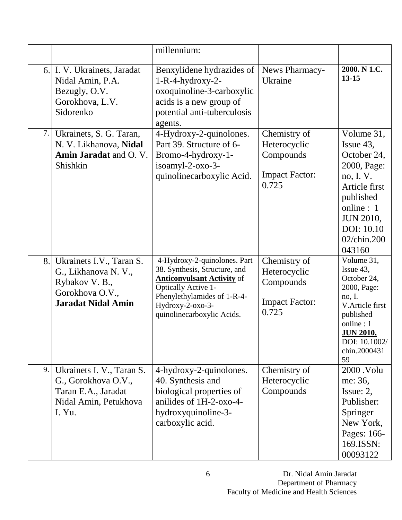|     |                                                                                                                   | millennium:                                                                                                                                                                                                       |                                                                             |                                                                                                                                                                          |
|-----|-------------------------------------------------------------------------------------------------------------------|-------------------------------------------------------------------------------------------------------------------------------------------------------------------------------------------------------------------|-----------------------------------------------------------------------------|--------------------------------------------------------------------------------------------------------------------------------------------------------------------------|
| 6.1 | I. V. Ukrainets, Jaradat<br>Nidal Amin, P.A.<br>Bezugly, O.V.<br>Gorokhova, L.V.<br>Sidorenko                     | Benxylidene hydrazides of<br>$1-R-4-hydroxy-2-$<br>oxoquinoline-3-carboxylic<br>acids is a new group of<br>potential anti-tuberculosis<br>agents.                                                                 | News Pharmacy-<br>Ukraine                                                   | 2000. N 1.C.<br>$13 - 15$                                                                                                                                                |
| 7.  | Ukrainets, S. G. Taran,<br>N. V. Likhanova, Nidal<br>Amin Jaradat and O.V.<br>Shishkin                            | 4-Hydroxy-2-quinolones.<br>Part 39. Structure of 6-<br>Bromo-4-hydroxy-1-<br>isoamyl-2-oxo-3-<br>quinolinecarboxylic Acid.                                                                                        | Chemistry of<br>Heterocyclic<br>Compounds<br><b>Impact Factor:</b><br>0.725 | Volume 31,<br>Issue 43,<br>October 24,<br>2000, Page:<br>no, I.V.<br>Article first<br>published<br>online : 1<br><b>JUN 2010,</b><br>DOI: 10.10<br>02/chin.200<br>043160 |
| 8.  | Ukrainets I.V., Taran S.<br>G., Likhanova N.V.,<br>Rybakov V. B.,<br>Gorokhova O.V.,<br><b>Jaradat Nidal Amin</b> | 4-Hydroxy-2-quinolones. Part<br>38. Synthesis, Structure, and<br><b>Anticonvulsant Activity of</b><br><b>Optically Active 1-</b><br>Phenylethylamides of 1-R-4-<br>Hydroxy-2-oxo-3-<br>quinolinecarboxylic Acids. | Chemistry of<br>Heterocyclic<br>Compounds<br><b>Impact Factor:</b><br>0.725 | Volume 31,<br>Issue 43,<br>October 24,<br>2000, Page:<br>no, I.<br>V.Article first<br>published<br>online: 1<br><b>JUN 2010,</b><br>DOI: 10.1002/<br>chin.2000431<br>59  |
| 9.  | Ukrainets I. V., Taran S.<br>G., Gorokhova O.V.,<br>Taran E.A., Jaradat<br>Nidal Amin, Petukhova<br>I. Yu.        | 4-hydroxy-2-quinolones.<br>40. Synthesis and<br>biological properties of<br>anilides of 1H-2-oxo-4-<br>hydroxyquinoline-3-<br>carboxylic acid.                                                                    | Chemistry of<br>Heterocyclic<br>Compounds                                   | 2000 .Volu<br>me: 36,<br>Issue: $2$ ,<br>Publisher:<br>Springer<br>New York,<br>Pages: 166-<br>169.ISSN:<br>00093122                                                     |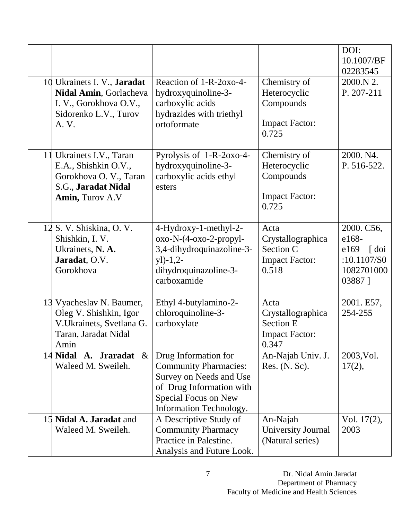|                                                                                                                      |                                                                                                                                                                |                                                                                 | DOI:<br>10.1007/BF<br>02283545                                                   |
|----------------------------------------------------------------------------------------------------------------------|----------------------------------------------------------------------------------------------------------------------------------------------------------------|---------------------------------------------------------------------------------|----------------------------------------------------------------------------------|
| 10 Ukrainets I. V., Jaradat<br>Nidal Amin, Gorlacheva<br>I. V., Gorokhova O.V.,<br>Sidorenko L.V., Turov<br>A. V.    | Reaction of 1-R-2oxo-4-<br>hydroxyquinoline-3-<br>carboxylic acids<br>hydrazides with triethyl<br>ortoformate                                                  | Chemistry of<br>Heterocyclic<br>Compounds<br><b>Impact Factor:</b><br>0.725     | 2000.N 2.<br>P. 207-211                                                          |
| 11 Ukrainets I.V., Taran<br>E.A., Shishkin O.V.,<br>Gorokhova O. V., Taran<br>S.G., Jaradat Nidal<br>Amin, Turov A.V | Pyrolysis of 1-R-2oxo-4-<br>hydroxyquinoline-3-<br>carboxylic acids ethyl<br>esters                                                                            | Chemistry of<br>Heterocyclic<br>Compounds<br><b>Impact Factor:</b><br>0.725     | 2000. N4.<br>P. 516-522.                                                         |
| 12 S. V. Shiskina, O. V.<br>Shishkin, I.V.<br>Ukrainets, N. A.<br>Jaradat, O.V.<br>Gorokhova                         | 4-Hydroxy-1-methyl-2-<br>oxo-N-(4-oxo-2-propyl-<br>3,4-dihydroquinazoline-3-<br>$y$ ])-1,2-<br>dihydroquinazoline-3-<br>carboxamide                            | Acta<br>Crystallographica<br>Section C<br><b>Impact Factor:</b><br>0.518        | 2000. C56,<br>e168-<br>e169<br>$\int$ doi<br>:10.1107/S0<br>1082701000<br>03887] |
| 13 Vyacheslav N. Baumer,<br>Oleg V. Shishkin, Igor<br>V.Ukrainets, Svetlana G.<br>Taran, Jaradat Nidal<br>Amin       | Ethyl 4-butylamino-2-<br>chloroquinoline-3-<br>carboxylate                                                                                                     | Acta<br>Crystallographica<br><b>Section E</b><br><b>Impact Factor:</b><br>0.347 | 2001. E57,<br>254-255                                                            |
| 14 Nidal<br>A. Jraradat<br>$\&$<br>Waleed M. Sweileh.                                                                | Drug Information for<br><b>Community Pharmacies:</b><br>Survey on Needs and Use<br>of Drug Information with<br>Special Focus on New<br>Information Technology. | An-Najah Univ. J.<br>Res. (N. Sc).                                              | 2003, Vol.<br>17(2),                                                             |
| 15 <b>Nidal A. Jaradat</b> and<br>Waleed M. Sweileh.                                                                 | A Descriptive Study of<br><b>Community Pharmacy</b><br>Practice in Palestine.<br>Analysis and Future Look.                                                     | An-Najah<br>University Journal<br>(Natural series)                              | Vol. 17(2),<br>2003                                                              |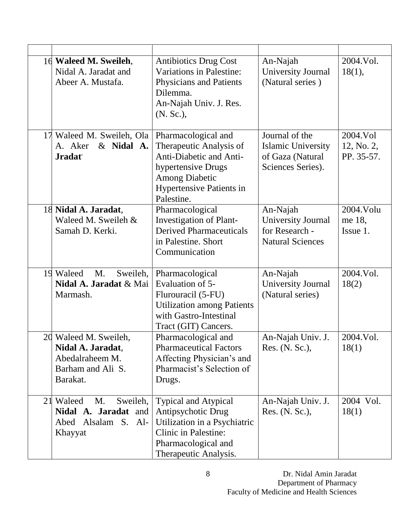| 16 Waleed M. Sweileh,<br>Nidal A. Jaradat and<br>Abeer A. Mustafa.                             | <b>Antibiotics Drug Cost</b><br>Variations in Palestine:<br><b>Physicians and Patients</b><br>Dilemma.<br>An-Najah Univ. J. Res.<br>(N. Sc.),                             | An-Najah<br>University Journal<br>(Natural series)                                   | 2004.Vol.<br>18(1),                  |
|------------------------------------------------------------------------------------------------|---------------------------------------------------------------------------------------------------------------------------------------------------------------------------|--------------------------------------------------------------------------------------|--------------------------------------|
| 17 Waleed M. Sweileh, Ola  <br>& Nidal A.<br>A. Aker<br><b>Jradat</b>                          | Pharmacological and<br>Therapeutic Analysis of<br>Anti-Diabetic and Anti-<br>hypertensive Drugs<br><b>Among Diabetic</b><br><b>Hypertensive Patients in</b><br>Palestine. | Journal of the<br><b>Islamic University</b><br>of Gaza (Natural<br>Sciences Series). | 2004.Vol<br>12, No. 2,<br>PP. 35-57. |
| 18 Nidal A. Jaradat,<br>Waleed M. Sweileh &<br>Samah D. Kerki.                                 | Pharmacological<br><b>Investigation of Plant-</b><br><b>Derived Pharmaceuticals</b><br>in Palestine. Short<br>Communication                                               | An-Najah<br><b>University Journal</b><br>for Research -<br><b>Natural Sciences</b>   | 2004. Volu<br>me 18,<br>Issue 1.     |
| 19 Waleed<br>M.<br>Sweileh,<br>Nidal A. Jaradat & Mai<br>Marmash.                              | Pharmacological<br>Evaluation of 5-<br>Flurouracil (5-FU)<br><b>Utilization among Patients</b><br>with Gastro-Intestinal<br>Tract (GIT) Cancers.                          | An-Najah<br>University Journal<br>(Natural series)                                   | 2004. Vol.<br>18(2)                  |
| 20 Waleed M. Sweileh,<br>Nidal A. Jaradat,<br>Abedalraheem M.<br>Barham and Ali S.<br>Barakat. | Pharmacological and<br><b>Pharmaceutical Factors</b><br>Affecting Physician's and<br>Pharmacist's Selection of<br>Drugs.                                                  | An-Najah Univ. J.<br>Res. (N. Sc.),                                                  | 2004. Vol.<br>18(1)                  |
| Sweileh,<br>21 Waleed<br>M.<br>Nidal A. Jaradat and<br>Abed Alsalam S. Al-<br>Khayyat          | <b>Typical and Atypical</b><br>Antipsychotic Drug<br>Utilization in a Psychiatric<br><b>Clinic in Palestine:</b><br>Pharmacological and<br>Therapeutic Analysis.          | An-Najah Univ. J.<br>Res. (N. Sc.),                                                  | 2004 Vol.<br>18(1)                   |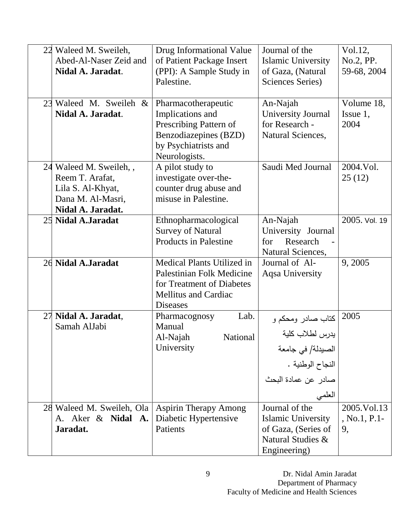|    | 22 Waleed M. Sweileh,<br>Abed-Al-Naser Zeid and<br>Nidal A. Jaradat.                                      | Drug Informational Value<br>of Patient Package Insert<br>(PPI): A Sample Study in<br>Palestine.                                        | Journal of the<br><b>Islamic University</b><br>of Gaza, (Natural<br>Sciences Series)                                 | Vol.12,<br>No.2, PP.<br>59-68, 2004   |
|----|-----------------------------------------------------------------------------------------------------------|----------------------------------------------------------------------------------------------------------------------------------------|----------------------------------------------------------------------------------------------------------------------|---------------------------------------|
| 23 | Waleed M. Sweileh &<br>Nidal A. Jaradat.                                                                  | Pharmacotherapeutic<br>Implications and<br>Prescribing Pattern of<br>Benzodiazepines (BZD)<br>by Psychiatrists and<br>Neurologists.    | An-Najah<br>University Journal<br>for Research -<br>Natural Sciences,                                                | Volume 18,<br>Issue $1$ ,<br>2004     |
|    | 24 Waleed M. Sweileh, ,<br>Reem T. Arafat,<br>Lila S. Al-Khyat,<br>Dana M. Al-Masri,<br>Nidal A. Jaradat. | A pilot study to<br>investigate over-the-<br>counter drug abuse and<br>misuse in Palestine.                                            | Saudi Med Journal                                                                                                    | 2004.Vol.<br>25(12)                   |
|    | 25 Nidal A.Jaradat                                                                                        | Ethnopharmacological<br><b>Survey of Natural</b><br><b>Products in Palestine</b>                                                       | An-Najah<br>University Journal<br>Research<br>for<br>Natural Sciences,                                               | 2005. Vol. 19                         |
|    | 26 Nidal A.Jaradat                                                                                        | Medical Plants Utilized in<br>Palestinian Folk Medicine<br>for Treatment of Diabetes<br><b>Mellitus and Cardiac</b><br><b>Diseases</b> | Journal of Al-<br>Aqsa University                                                                                    | 9,2005                                |
| 27 | Nidal A. Jaradat,<br>Samah AlJabi                                                                         | Lab.<br>Pharmacognosy<br>Manual<br>Al-Najah<br>National<br>University                                                                  | كتاب صادر ومحكم و<br> يدرس لطلاب كلية<br>الصبدلة/ في جامعة<br>.<br>النجاح الوطنية .<br>صادر عن عمادة البحث<br>العلمى | 2005                                  |
|    | 28 Waleed M. Sweileh, Ola<br>A. Aker & Nidal A.<br>Jaradat.                                               | <b>Aspirin Therapy Among</b><br>Diabetic Hypertensive<br>Patients                                                                      | Journal of the<br>Islamic University<br>of Gaza, (Series of<br>Natural Studies &<br>Engineering)                     | 2005. Vol. 13<br>$, No.1, P.1-$<br>9, |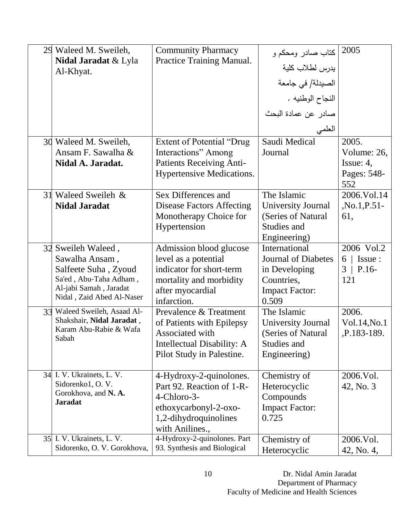| 29 Waleed M. Sweileh,<br><b>Nidal Jaradat &amp; Lyla</b><br>Al-Khyat.<br>30 Waleed M. Sweileh,                                                | <b>Community Pharmacy</b><br>Practice Training Manual.<br>Extent of Potential "Drug                                                       | كتاب صادر ومحكم و<br>يدرس لطلاب كلية<br>الصيدلة/ في جامعة<br>النجاح الوطنيه .<br>صادر عن عمادة البحث<br>العلمي<br>Saudi Medical | 2005<br>2005.                                        |
|-----------------------------------------------------------------------------------------------------------------------------------------------|-------------------------------------------------------------------------------------------------------------------------------------------|---------------------------------------------------------------------------------------------------------------------------------|------------------------------------------------------|
| Ansam F. Sawalha &<br>Nidal A. Jaradat.                                                                                                       | Interactions" Among<br>Patients Receiving Anti-<br><b>Hypertensive Medications.</b>                                                       | Journal                                                                                                                         | Volume: 26,<br>Issue: $4$ ,<br>Pages: 548-<br>552    |
| 31 Waleed Sweileh &<br><b>Nidal Jaradat</b>                                                                                                   | Sex Differences and<br><b>Disease Factors Affecting</b><br>Monotherapy Choice for<br>Hypertension                                         | The Islamic<br>University Journal<br>(Series of Natural<br>Studies and<br>Engineering)                                          | 2006.Vol.14<br>$, No.1, P.51-$<br>61,                |
| 32 Sweileh Waleed,<br>Sawalha Ansam,<br>Salfeete Suha, Zyoud<br>Sa'ed, Abu-Taha Adham,<br>Al-jabi Samah, Jaradat<br>Nidal, Zaid Abed Al-Naser | Admission blood glucose<br>level as a potential<br>indicator for short-term<br>mortality and morbidity<br>after myocardial<br>infarction. | International<br><b>Journal of Diabetes</b><br>in Developing<br>Countries,<br><b>Impact Factor:</b><br>0.509                    | 2006 Vol.2<br>$6 \mid$ Issue :<br>$3$   P.16-<br>121 |
| 33 Waleed Sweileh, Asaad Al-<br>Shakshair, Nidal Jaradat,<br>Karam Abu-Rabie & Wafa<br>Sabah                                                  | Prevalence & Treatment<br>of Patients with Epilepsy<br>Associated with<br>Intellectual Disability: A<br>Pilot Study in Palestine.         | The Islamic<br>University Journal<br>(Series of Natural)<br>Studies and<br>Engineering)                                         | 2006.<br>Vol.14, No.1<br>,P.183-189.                 |
| 34 I.V. Ukrainets, L.V.<br>Sidorenko1, O.V.<br>Gorokhova, and N. A.<br><b>Jaradat</b>                                                         | 4-Hydroxy-2-quinolones.<br>Part 92. Reaction of 1-R-<br>4-Chloro-3-<br>ethoxycarbonyl-2-oxo-<br>1,2-dihydroquinolines<br>with Anilines.,  | Chemistry of<br>Heterocyclic<br>Compounds<br><b>Impact Factor:</b><br>0.725                                                     | 2006.Vol.<br>42, No. 3                               |
| 35 I.V. Ukrainets, L.V.<br>Sidorenko, O. V. Gorokhova,                                                                                        | 4-Hydroxy-2-quinolones. Part<br>93. Synthesis and Biological                                                                              | Chemistry of<br>Heterocyclic                                                                                                    | 2006.Vol.<br>42, No. 4,                              |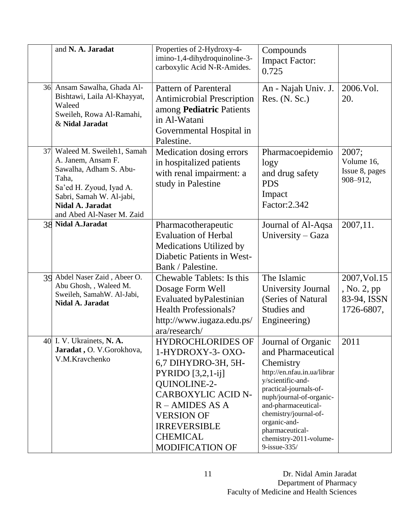|    | and N. A. Jaradat                                                                                                                                                                          | Properties of 2-Hydroxy-4-<br>imino-1,4-dihydroquinoline-3-<br>carboxylic Acid N-R-Amides.                                                                                                                                                     | Compounds<br><b>Impact Factor:</b><br>0.725                                                                                                                                                                                                                                                  |                                                           |
|----|--------------------------------------------------------------------------------------------------------------------------------------------------------------------------------------------|------------------------------------------------------------------------------------------------------------------------------------------------------------------------------------------------------------------------------------------------|----------------------------------------------------------------------------------------------------------------------------------------------------------------------------------------------------------------------------------------------------------------------------------------------|-----------------------------------------------------------|
|    | 36 Ansam Sawalha, Ghada Al-<br>Bishtawi, Laila Al-Khayyat,<br>Waleed<br>Sweileh, Rowa Al-Ramahi,<br>& Nidal Jaradat                                                                        | <b>Pattern of Parenteral</b><br><b>Antimicrobial Prescription</b><br>among Pediatric Patients<br>in Al-Watani<br>Governmental Hospital in<br>Palestine.                                                                                        | An - Najah Univ. J.<br>Res. (N. Sc.)                                                                                                                                                                                                                                                         | 2006.Vol.<br>20.                                          |
| 37 | Waleed M. Sweileh1, Samah<br>A. Janem, Ansam F.<br>Sawalha, Adham S. Abu-<br>Taha,<br>Sa'ed H. Zyoud, Iyad A.<br>Sabri, Samah W. Al-jabi,<br>Nidal A. Jaradat<br>and Abed Al-Naser M. Zaid | Medication dosing errors<br>in hospitalized patients<br>with renal impairment: a<br>study in Palestine                                                                                                                                         | Pharmacoepidemio<br>logy<br>and drug safety<br><b>PDS</b><br>Impact<br>Factor: 2.342                                                                                                                                                                                                         | 2007;<br>Volume 16,<br>Issue 8, pages<br>908-912,         |
|    | 38 Nidal A.Jaradat                                                                                                                                                                         | Pharmacotherapeutic<br><b>Evaluation of Herbal</b><br>Medications Utilized by<br>Diabetic Patients in West-<br>Bank / Palestine.                                                                                                               | Journal of Al-Aqsa<br>University – Gaza                                                                                                                                                                                                                                                      | 2007,11.                                                  |
|    | 39 Abdel Naser Zaid, Abeer O.<br>Abu Ghosh, , Waleed M.<br>Sweileh, SamahW. Al-Jabi,<br>Nidal A. Jaradat                                                                                   | <b>Chewable Tablets: Is this</b><br>Dosage Form Well<br><b>Evaluated byPalestinian</b><br><b>Health Professionals?</b><br>http://www.iugaza.edu.ps/<br>ara/research/                                                                           | The Islamic<br>University Journal<br>(Series of Natural<br>Studies and<br>Engineering)                                                                                                                                                                                                       | 2007, Vol. 15<br>, No. 2, pp<br>83-94, ISSN<br>1726-6807, |
|    | 40 I.V. Ukrainets, N.A.<br>Jaradat, O. V.Gorokhova,<br>V.M.Kravchenko                                                                                                                      | <b>HYDROCHLORIDES OF</b><br>1-HYDROXY-3-OXO-<br>6,7 DIHYDRO-3H, 5H-<br>PYRIDO $[3,2,1-ij]$<br>QUINOLINE-2-<br><b>CARBOXYLIC ACID N-</b><br>$R$ – AMIDES AS A<br><b>VERSION OF</b><br><b>IRREVERSIBLE</b><br><b>CHEMICAL</b><br>MODIFICATION OF | Journal of Organic<br>and Pharmaceutical<br>Chemistry<br>http://en.nfau.in.ua/librar<br>y/scientific-and-<br>practical-journals-of-<br>nuph/journal-of-organic-<br>and-pharmaceutical-<br>chemistry/journal-of-<br>organic-and-<br>pharmaceutical-<br>chemistry-2011-volume-<br>9-issue-335/ | 2011                                                      |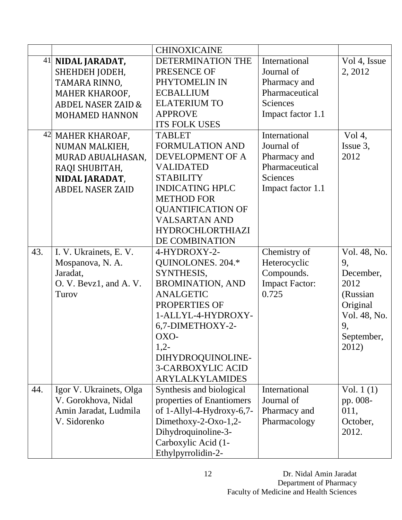|     |                               | <b>CHINOXICAINE</b>       |                       |              |
|-----|-------------------------------|---------------------------|-----------------------|--------------|
|     | 41 NIDAL JARADAT,             | DETERMINATION THE         | International         | Vol 4, Issue |
|     | SHEHDEH JODEH,                | PRESENCE OF               | Journal of            | 2, 2012      |
|     | TAMARA RINNO,                 | PHYTOMELIN IN             | Pharmacy and          |              |
|     | MAHER KHAROOF,                | <b>ECBALLIUM</b>          | Pharmaceutical        |              |
|     | <b>ABDEL NASER ZAID &amp;</b> | <b>ELATERIUM TO</b>       | <b>Sciences</b>       |              |
|     | <b>MOHAMED HANNON</b>         | <b>APPROVE</b>            | Impact factor 1.1     |              |
|     |                               | <b>ITS FOLK USES</b>      |                       |              |
|     | 42 MAHER KHAROAF,             | <b>TABLET</b>             | International         | Vol 4,       |
|     | NUMAN MALKIEH,                | <b>FORMULATION AND</b>    | Journal of            | Issue 3,     |
|     | MURAD ABUALHASAN,             | DEVELOPMENT OF A          | Pharmacy and          | 2012         |
|     | RAQI SHUBITAH,                | <b>VALIDATED</b>          | Pharmaceutical        |              |
|     | NIDAL JARADAT,                | <b>STABILITY</b>          | <b>Sciences</b>       |              |
|     | <b>ABDEL NASER ZAID</b>       | <b>INDICATING HPLC</b>    | Impact factor 1.1     |              |
|     |                               | <b>METHOD FOR</b>         |                       |              |
|     |                               | <b>QUANTIFICATION OF</b>  |                       |              |
|     |                               | <b>VALSARTAN AND</b>      |                       |              |
|     |                               | <b>HYDROCHLORTHIAZI</b>   |                       |              |
|     |                               | DE COMBINATION            |                       |              |
| 43. | I. V. Ukrainets, E. V.        | 4-HYDROXY-2-              | Chemistry of          | Vol. 48, No. |
|     | Mospanova, N. A.              | QUINOLONES. 204.*         | Heterocyclic          | 9,           |
|     | Jaradat,                      | SYNTHESIS,                | Compounds.            | December,    |
|     | O. V. Bevz1, and A. V.        | <b>BROMINATION, AND</b>   | <b>Impact Factor:</b> | 2012         |
|     | Turov                         | <b>ANALGETIC</b>          | 0.725                 | (Russian     |
|     |                               | PROPERTIES OF             |                       | Original     |
|     |                               | 1-ALLYL-4-HYDROXY-        |                       | Vol. 48, No. |
|     |                               | 6,7-DIMETHOXY-2-          |                       | 9,           |
|     |                               | OXO-                      |                       | September,   |
|     |                               | $1,2-$                    |                       | 2012)        |
|     |                               | DIHYDROQUINOLINE-         |                       |              |
|     |                               | <b>3-CARBOXYLIC ACID</b>  |                       |              |
|     |                               | <b>ARYLALKYLAMIDES</b>    |                       |              |
| 44. | Igor V. Ukrainets, Olga       | Synthesis and biological  | International         | Vol. $1(1)$  |
|     | V. Gorokhova, Nidal           | properties of Enantiomers | Journal of            | pp. 008-     |
|     | Amin Jaradat, Ludmila         | of 1-Allyl-4-Hydroxy-6,7- | Pharmacy and          | 011,         |
|     | V. Sidorenko                  | Dimethoxy-2-Oxo-1,2-      | Pharmacology          | October,     |
|     |                               | Dihydroquinoline-3-       |                       | 2012.        |
|     |                               | Carboxylic Acid (1-       |                       |              |
|     |                               | Ethylpyrrolidin-2-        |                       |              |